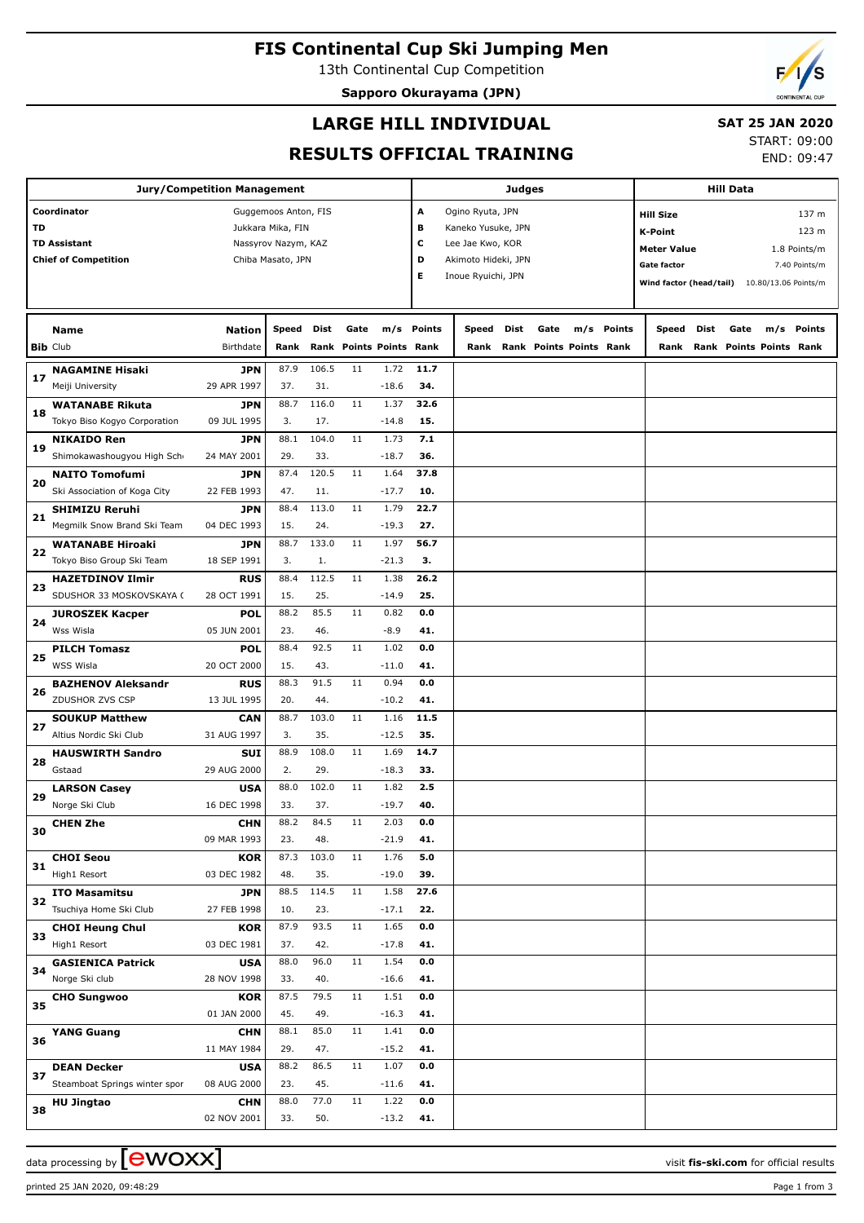# **FIS Continental Cup Ski Jumping Men**

13th Continental Cup Competition

**Sapporo Okurayama (JPN)**



### **LARGE HILL INDIVIDUAL**

## **SAT 25 JAN 2020**

#### **RESULTS OFFICIAL TRAINING**

START: 09:00 END: 09:47

| Jury/Competition Management         |                                                      |                                          |                   |              |                         |                 |             |                                                  |      |                         | <b>Hill Data</b> |            |                                    |                         |      |                                |               |  |  |
|-------------------------------------|------------------------------------------------------|------------------------------------------|-------------------|--------------|-------------------------|-----------------|-------------|--------------------------------------------------|------|-------------------------|------------------|------------|------------------------------------|-------------------------|------|--------------------------------|---------------|--|--|
| Coordinator<br>Guggemoos Anton, FIS |                                                      |                                          |                   |              |                         |                 |             | Judges<br>Ogino Ryuta, JPN                       |      |                         |                  |            |                                    |                         |      |                                |               |  |  |
|                                     |                                                      |                                          |                   |              |                         |                 | А           |                                                  |      |                         |                  |            | <b>Hill Size</b>                   |                         |      |                                | 137 m         |  |  |
| TD                                  | <b>TD Assistant</b>                                  | Jukkara Mika, FIN<br>Nassyrov Nazym, KAZ |                   |              |                         |                 |             | в<br>Kaneko Yusuke, JPN<br>с<br>Lee Jae Kwo, KOR |      |                         |                  |            |                                    | <b>K-Point</b><br>123 m |      |                                |               |  |  |
|                                     | <b>Chief of Competition</b>                          |                                          | Chiba Masato, JPN |              |                         |                 | D           | Akimoto Hideki, JPN                              |      |                         |                  |            | <b>Meter Value</b><br>1.8 Points/m |                         |      |                                |               |  |  |
|                                     |                                                      |                                          |                   |              |                         |                 | Е           | Inoue Ryuichi, JPN                               |      |                         |                  |            | Gate factor                        |                         |      |                                | 7.40 Points/m |  |  |
|                                     |                                                      |                                          |                   |              |                         |                 |             |                                                  |      |                         |                  |            | Wind factor (head/tail)            |                         |      | 10.80/13.06 Points/m           |               |  |  |
|                                     |                                                      |                                          |                   |              |                         |                 |             |                                                  |      |                         |                  |            |                                    |                         |      |                                |               |  |  |
|                                     | Name                                                 | <b>Nation</b>                            | Speed             | Dist         | Gate                    |                 | m/s Points  | Speed                                            | Dist | Gate                    |                  | m/s Points | Speed                              | Dist                    | Gate |                                | m/s Points    |  |  |
|                                     | <b>Bib Club</b>                                      | Birthdate                                | Rank              |              | Rank Points Points Rank |                 |             | Rank                                             |      | Rank Points Points Rank |                  |            | Rank                               |                         |      | <b>Rank Points Points Rank</b> |               |  |  |
| 17                                  | <b>NAGAMINE Hisaki</b>                               | <b>JPN</b>                               | 87.9              | 106.5        | 11                      | 1.72            | 11.7        |                                                  |      |                         |                  |            |                                    |                         |      |                                |               |  |  |
|                                     | Meiji University                                     | 29 APR 1997                              | 37.               | 31.          |                         | $-18.6$         | 34.         |                                                  |      |                         |                  |            |                                    |                         |      |                                |               |  |  |
| 18                                  | <b>WATANABE Rikuta</b>                               | <b>JPN</b>                               | 88.7              | 116.0        | 11                      | 1.37            | 32.6        |                                                  |      |                         |                  |            |                                    |                         |      |                                |               |  |  |
|                                     | Tokyo Biso Kogyo Corporation                         | 09 JUL 1995                              | 3.                | 17.          |                         | $-14.8$         | 15.         |                                                  |      |                         |                  |            |                                    |                         |      |                                |               |  |  |
| 19                                  | <b>NIKAIDO Ren</b>                                   | <b>JPN</b>                               | 88.1              | 104.0        | 11                      | 1.73            | 7.1         |                                                  |      |                         |                  |            |                                    |                         |      |                                |               |  |  |
|                                     | Shimokawashougyou High Scho                          | 24 MAY 2001                              | 29.               | 33.          |                         | $-18.7$         | 36.         |                                                  |      |                         |                  |            |                                    |                         |      |                                |               |  |  |
| 20                                  | <b>NAITO Tomofumi</b>                                | <b>JPN</b>                               | 87.4              | 120.5        | 11                      | 1.64            | 37.8        |                                                  |      |                         |                  |            |                                    |                         |      |                                |               |  |  |
|                                     | Ski Association of Koga City                         | 22 FEB 1993                              | 47.               | 11.          |                         | $-17.7$         | 10.         |                                                  |      |                         |                  |            |                                    |                         |      |                                |               |  |  |
| 21                                  | <b>SHIMIZU Reruhi</b><br>Megmilk Snow Brand Ski Team | <b>JPN</b><br>04 DEC 1993                | 88.4<br>15.       | 113.0<br>24. | 11                      | 1.79<br>$-19.3$ | 22.7<br>27. |                                                  |      |                         |                  |            |                                    |                         |      |                                |               |  |  |
|                                     | <b>WATANABE Hiroaki</b>                              | <b>JPN</b>                               | 88.7              | 133.0        | 11                      | 1.97            | 56.7        |                                                  |      |                         |                  |            |                                    |                         |      |                                |               |  |  |
| 22                                  | Tokyo Biso Group Ski Team                            | 18 SEP 1991                              | 3.                | 1.           |                         | $-21.3$         | З.          |                                                  |      |                         |                  |            |                                    |                         |      |                                |               |  |  |
|                                     | <b>HAZETDINOV Ilmir</b>                              | <b>RUS</b>                               | 88.4              | 112.5        | 11                      | 1.38            | 26.2        |                                                  |      |                         |                  |            |                                    |                         |      |                                |               |  |  |
| 23                                  | SDUSHOR 33 MOSKOVSKAYA (                             | 28 OCT 1991                              | 15.               | 25.          |                         | $-14.9$         | 25.         |                                                  |      |                         |                  |            |                                    |                         |      |                                |               |  |  |
|                                     | <b>JUROSZEK Kacper</b>                               | <b>POL</b>                               | 88.2              | 85.5         | 11                      | 0.82            | 0.0         |                                                  |      |                         |                  |            |                                    |                         |      |                                |               |  |  |
| 24                                  | Wss Wisla                                            | 05 JUN 2001                              | 23.               | 46.          |                         | $-8.9$          | 41.         |                                                  |      |                         |                  |            |                                    |                         |      |                                |               |  |  |
|                                     | <b>PILCH Tomasz</b>                                  | <b>POL</b>                               | 88.4              | 92.5         | 11                      | 1.02            | 0.0         |                                                  |      |                         |                  |            |                                    |                         |      |                                |               |  |  |
| 25                                  | WSS Wisla                                            | 20 OCT 2000                              | 15.               | 43.          |                         | $-11.0$         | 41.         |                                                  |      |                         |                  |            |                                    |                         |      |                                |               |  |  |
|                                     | <b>BAZHENOV Aleksandr</b>                            | <b>RUS</b>                               | 88.3              | 91.5         | 11                      | 0.94            | 0.0         |                                                  |      |                         |                  |            |                                    |                         |      |                                |               |  |  |
| 26                                  | ZDUSHOR ZVS CSP                                      | 13 JUL 1995                              | 20.               | 44.          |                         | $-10.2$         | 41.         |                                                  |      |                         |                  |            |                                    |                         |      |                                |               |  |  |
| 27                                  | <b>SOUKUP Matthew</b>                                | <b>CAN</b>                               | 88.7              | 103.0        | 11                      | 1.16            | 11.5        |                                                  |      |                         |                  |            |                                    |                         |      |                                |               |  |  |
|                                     | Altius Nordic Ski Club                               | 31 AUG 1997                              | 3.                | 35.          |                         | $-12.5$         | 35.         |                                                  |      |                         |                  |            |                                    |                         |      |                                |               |  |  |
| 28                                  | <b>HAUSWIRTH Sandro</b>                              | <b>SUI</b>                               | 88.9              | 108.0        | 11                      | 1.69            | 14.7        |                                                  |      |                         |                  |            |                                    |                         |      |                                |               |  |  |
|                                     | Gstaad                                               | 29 AUG 2000                              | 2.                | 29.          |                         | $-18.3$         | 33.         |                                                  |      |                         |                  |            |                                    |                         |      |                                |               |  |  |
| 29                                  | <b>LARSON Casey</b>                                  | <b>USA</b>                               | 88.0              | 102.0        | 11                      | 1.82            | 2.5         |                                                  |      |                         |                  |            |                                    |                         |      |                                |               |  |  |
|                                     | Norge Ski Club                                       | 16 DEC 1998                              | 33.               | 37.          |                         | $-19.7$         | 40.         |                                                  |      |                         |                  |            |                                    |                         |      |                                |               |  |  |
| 30                                  | <b>CHEN Zhe</b>                                      | <b>CHN</b>                               | 88.2              | 84.5         | $11\,$                  | 2.03            | 0.0         |                                                  |      |                         |                  |            |                                    |                         |      |                                |               |  |  |
|                                     |                                                      | 09 MAR 1993                              | 23.<br>87.3       | 48.<br>103.0 | 11                      | $-21.9$<br>1.76 | 41.<br>5.0  |                                                  |      |                         |                  |            |                                    |                         |      |                                |               |  |  |
| 31                                  | <b>CHOI Seou</b><br>High1 Resort                     | <b>KOR</b><br>03 DEC 1982                | 48.               | 35.          |                         | $-19.0$         | 39.         |                                                  |      |                         |                  |            |                                    |                         |      |                                |               |  |  |
|                                     | <b>ITO Masamitsu</b>                                 | <b>JPN</b>                               | 88.5              | 114.5        | 11                      | 1.58            | 27.6        |                                                  |      |                         |                  |            |                                    |                         |      |                                |               |  |  |
| 32                                  | Tsuchiya Home Ski Club                               | 27 FEB 1998                              | 10.               | 23.          |                         | $-17.1$         | 22.         |                                                  |      |                         |                  |            |                                    |                         |      |                                |               |  |  |
|                                     | <b>CHOI Heung Chul</b>                               | <b>KOR</b>                               | 87.9              | 93.5         | 11                      | 1.65            | 0.0         |                                                  |      |                         |                  |            |                                    |                         |      |                                |               |  |  |
| 33                                  | High1 Resort                                         | 03 DEC 1981                              | 37.               | 42.          |                         | $-17.8$         | 41.         |                                                  |      |                         |                  |            |                                    |                         |      |                                |               |  |  |
|                                     | <b>GASIENICA Patrick</b>                             | <b>USA</b>                               | 88.0              | 96.0         | 11                      | 1.54            | 0.0         |                                                  |      |                         |                  |            |                                    |                         |      |                                |               |  |  |
| 34                                  | Norge Ski club                                       | 28 NOV 1998                              | 33.               | 40.          |                         | $-16.6$         | 41.         |                                                  |      |                         |                  |            |                                    |                         |      |                                |               |  |  |
|                                     | <b>CHO Sungwoo</b>                                   | <b>KOR</b>                               | 87.5              | 79.5         | 11                      | 1.51            | 0.0         |                                                  |      |                         |                  |            |                                    |                         |      |                                |               |  |  |
| 35                                  |                                                      | 01 JAN 2000                              | 45.               | 49.          |                         | $-16.3$         | 41.         |                                                  |      |                         |                  |            |                                    |                         |      |                                |               |  |  |
| 36                                  | <b>YANG Guang</b>                                    | <b>CHN</b>                               | 88.1              | 85.0         | 11                      | 1.41            | 0.0         |                                                  |      |                         |                  |            |                                    |                         |      |                                |               |  |  |
|                                     |                                                      | 11 MAY 1984                              | 29.               | 47.          |                         | $-15.2$         | 41.         |                                                  |      |                         |                  |            |                                    |                         |      |                                |               |  |  |
| 37                                  | <b>DEAN Decker</b>                                   | <b>USA</b>                               | 88.2              | 86.5         | 11                      | 1.07            | 0.0         |                                                  |      |                         |                  |            |                                    |                         |      |                                |               |  |  |
|                                     | Steamboat Springs winter spor                        | 08 AUG 2000                              | 23.               | 45.          |                         | $-11.6$         | 41.         |                                                  |      |                         |                  |            |                                    |                         |      |                                |               |  |  |
| 38                                  | <b>HU Jingtao</b>                                    | <b>CHN</b>                               | 88.0              | 77.0         | 11                      | 1.22            | 0.0         |                                                  |      |                         |                  |            |                                    |                         |      |                                |               |  |  |
|                                     |                                                      | 02 NOV 2001                              | 33.               | 50.          |                         | $-13.2$         | 41.         |                                                  |      |                         |                  |            |                                    |                         |      |                                |               |  |  |

data processing by **CWOXX**  $\blacksquare$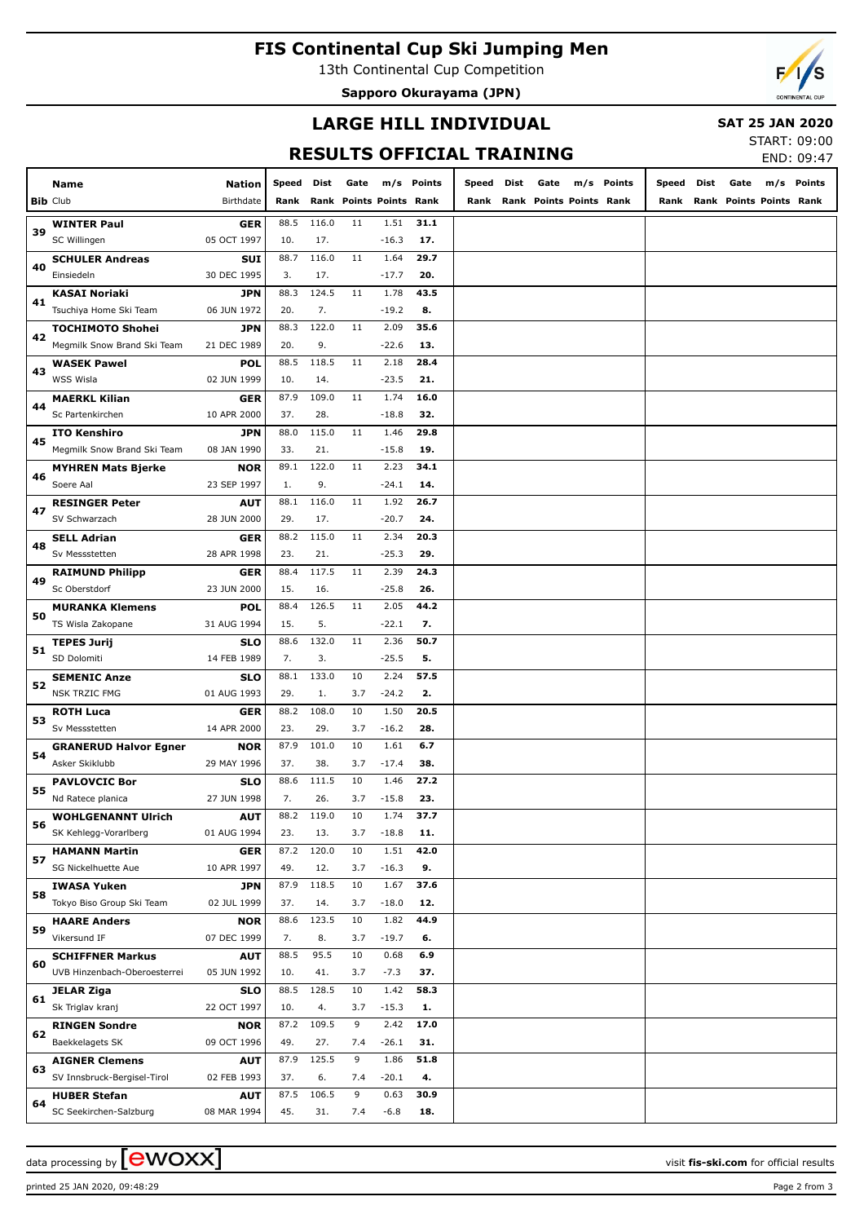# **FIS Continental Cup Ski Jumping Men**

13th Continental Cup Competition

**Sapporo Okurayama (JPN)**



#### **LARGE HILL INDIVIDUAL**

 **SAT 25 JAN 2020** START: 09:00

| <b>RESULTS OFFICIAL TRAINING</b> |               |       |       |      |                           |        |       |      |                         |  |            |       |      | END: 09:47              |     |               |
|----------------------------------|---------------|-------|-------|------|---------------------------|--------|-------|------|-------------------------|--|------------|-------|------|-------------------------|-----|---------------|
| Name                             | <b>Nation</b> | Speed | Dist  | Gate | m/s                       | Points | Speed | Dist | Gate                    |  | m/s Points | Speed | Dist | Gate                    | m/s | <b>Points</b> |
| Club                             | Birthdate     | Rank  |       |      | <b>Rank Points Points</b> | Rank   | Rank  |      | Rank Points Points Rank |  |            | Rank  |      | Rank Points Points Rank |     |               |
| <b>WINTER Paul</b>               | <b>GER</b>    | 88.5  | 116.0 | 11   | 1.51                      | 31.1   |       |      |                         |  |            |       |      |                         |     |               |
| SC Willingen                     | 05 OCT 1997   | 10.   | 17.   |      | $-16.3$                   | 17.    |       |      |                         |  |            |       |      |                         |     |               |
| <b>SCHULER Andreas</b>           | <b>SUI</b>    | 88.7  | 116.0 | 11   | 1.64                      | 29.7   |       |      |                         |  |            |       |      |                         |     |               |
| Einsiedeln                       | 30 DEC 1995   | 3.    | 17.   |      | $-17.7$                   | 20.    |       |      |                         |  |            |       |      |                         |     |               |
| <b>KASAI Noriaki</b>             | <b>JPN</b>    | 88.3  | 124.5 | 11   | 1.78                      | 43.5   |       |      |                         |  |            |       |      |                         |     |               |
| Tsuchiya Home Ski Team           | 06 JUN 1972   | 20.   | 7.    |      | $-19.2$                   | 8.     |       |      |                         |  |            |       |      |                         |     |               |
| <b>TOCHIMOTO Shohei</b>          | <b>JPN</b>    | 88.3  | 122.0 | 11   | 2.09                      | 35.6   |       |      |                         |  |            |       |      |                         |     |               |
| Megmilk Snow Brand Ski Team      | 21 DEC 1989   | 20.   | 9.    |      | $-22.6$                   | 13.    |       |      |                         |  |            |       |      |                         |     |               |
| <b>WASEK Pawel</b>               | POL           | 88.5  | 118.5 | 11   | 2.18                      | 28.4   |       |      |                         |  |            |       |      |                         |     |               |
| <b>WSS Wisla</b>                 | 02 JUN 1999   | 10.   | 14.   |      | $-23.5$                   | 21.    |       |      |                         |  |            |       |      |                         |     |               |
| <b>MAERKL Kilian</b>             | GER           | 87.9  | 109.0 | 11   | 1.74                      | 16.0   |       |      |                         |  |            |       |      |                         |     |               |
| Sc Partenkirchen                 | 10 APR 2000   | 37.   | 28.   |      | $-18.8$                   | 32.    |       |      |                         |  |            |       |      |                         |     |               |
| <b>ITO Kenshiro</b>              | <b>JPN</b>    | 88.0  | 115.0 | 11   | 1.46                      | 29.8   |       |      |                         |  |            |       |      |                         |     |               |
| Megmilk Snow Brand Ski Team      | 08 JAN 1990   | 33.   | 21.   |      | $-15.8$                   | 19.    |       |      |                         |  |            |       |      |                         |     |               |
| <b>MYHREN Mats Bjerke</b>        | <b>NOR</b>    | 89.1  | 122.0 | 11   | 2.23                      | 34.1   |       |      |                         |  |            |       |      |                         |     |               |
| Soere Aal                        | 23 SEP 1997   | 1.    | 9.    |      | $-24.1$                   | 14.    |       |      |                         |  |            |       |      |                         |     |               |
| <b>RESINGER Peter</b>            | <b>AUT</b>    | 88.1  | 116.0 | 11   | 1.92                      | 26.7   |       |      |                         |  |            |       |      |                         |     |               |
| SV Schwarzach                    | 28 JUN 2000   | 29.   | 17.   |      | $-20.7$                   | 24.    |       |      |                         |  |            |       |      |                         |     |               |
| <b>SELL Adrian</b>               | GER           | 88.2  | 115.0 | 11   | 2.34                      | 20.3   |       |      |                         |  |            |       |      |                         |     |               |
| Sv Messstetten                   | 28 APR 1998   | 23.   | 21.   |      | $-25.3$                   | 29.    |       |      |                         |  |            |       |      |                         |     |               |
| <b>RAIMUND Philipp</b>           | GER           | 88.4  | 117.5 | 11   | 2.39                      | 24.3   |       |      |                         |  |            |       |      |                         |     |               |
| Sc Oberstdorf                    | 23 JUN 2000   | 15.   | 16.   |      | $-25.8$                   | 26.    |       |      |                         |  |            |       |      |                         |     |               |
| <b>MURANKA Klemens</b>           | <b>POL</b>    | 88.4  | 126.5 | 11   | 2.05                      | 44.2   |       |      |                         |  |            |       |      |                         |     |               |
| TS Wisla Zakopane                | 31 AUG 1994   | 15.   | 5.    |      | $-22.1$                   | 7.     |       |      |                         |  |            |       |      |                         |     |               |
| <b>TEPES Jurij</b>               | <b>SLO</b>    | 88.6  | 132.0 | 11   | 2.36                      | 50.7   |       |      |                         |  |            |       |      |                         |     |               |
| SD Dolomiti                      | 14 FEB 1989   | 7.    | 3.    |      | $-25.5$                   | 5.     |       |      |                         |  |            |       |      |                         |     |               |
| <b>SEMENIC Anze</b>              | <b>SLO</b>    | 88.1  | 133.0 | 10   | 2.24                      | 57.5   |       |      |                         |  |            |       |      |                         |     |               |
| <b>NSK TRZIC FMG</b>             | 01 AUG 1993   | 29.   | 1.    | 3.7  | $-24.2$                   | 2.     |       |      |                         |  |            |       |      |                         |     |               |
| <b>ROTH Luca</b>                 | GER           | 88.2  | 108.0 | 10   | 1.50                      | 20.5   |       |      |                         |  |            |       |      |                         |     |               |
| Sv Messstetten                   | 14 APR 2000   | 23.   | 29.   | 3.7  | $-16.2$                   | 28.    |       |      |                         |  |            |       |      |                         |     |               |
| <b>GRANERUD Halvor Egner</b>     | <b>NOR</b>    | 87.9  | 101.0 | 10   | 1.61                      | 6.7    |       |      |                         |  |            |       |      |                         |     |               |
| Asker Skiklubb                   | 29 MAY 1996   | 37.   | 38.   | 3.7  | $-17.4$                   | 38.    |       |      |                         |  |            |       |      |                         |     |               |
| <b>PAVLOVCIC Bor</b>             | <b>SLO</b>    | 88.6  | 111.5 | 10   | 1.46                      | 27.2   |       |      |                         |  |            |       |      |                         |     |               |
| Nd Ratece planica                | 27 JUN 1998   | 7.    | 26.   | 3.7  | $-15.8$                   | 23.    |       |      |                         |  |            |       |      |                         |     |               |
| <b>WOHLGENANNT Ulrich</b>        | <b>AUT</b>    | 88.2  | 119.0 | 10   | 1.74                      | 37.7   |       |      |                         |  |            |       |      |                         |     |               |
| SK Kehlegg-Vorarlberg            | 01 AUG 1994   | 23.   | 13.   | 3.7  | $-18.8$                   | 11.    |       |      |                         |  |            |       |      |                         |     |               |
| <b>HAMANN Martin</b>             | GER           | 87.2  | 120.0 | 10   | 1.51                      | 42.0   |       |      |                         |  |            |       |      |                         |     |               |
| SG Nickelhuette Aue              | 10 APR 1997   | 49.   | 12.   | 3.7  | $-16.3$                   | 9.     |       |      |                         |  |            |       |      |                         |     |               |

**Bib** Club **Name**

**39**

**40**

**41**

**42**

**43**

**44**

**45**

**46**

**47**

**48**

**49**

**50**

**51**

**52**

**53**

**54**

**55**

**56**

**57**

**58**

**59**

**60**

**61**

**62**

**63**

**64**

**IWASA Yuken** Tokyo Biso Group Ski Team

**HAARE Anders** Vikersund IF

**JELAR Ziga** Sk Triglav kranj

**RINGEN Sondre** Baekkelagets SK

**AIGNER Clemens** SV Innsbruck-Bergisel-Tirol

**HUBER Stefan** SC Seekirchen-Salzburg

**SCHIFFNER Markus** UVB Hinzenbach-Oberoesterrei

**JPN** 02 JUL 1999

**NOR** 07 DEC 1999

**AUT** 05 JUN 1992

**SLO** 22 OCT 1997

**NOR** 09 OCT 1996

**AUT** 02 FEB 1993

**AUT** 08 MAR 1994 87.9 118.5 10 37. 14. -18.0

88.6 123.5 10 7. 8. 3.7 -19.7

88.5 95.5 10 10. 41. -7.3

88.5 128.5 10 10. 4. 3.7 -15.3

87.2 109.5 9 49. 27. -26.1

87.9 125.5 9  $37.6.74$  -20.1

87.5 106.5 9 45. 31. 7.4 -6.8 **37.6 12.**

**44.9 6.**

**6.9 37.**

**58.3 1.**

**17.0 31.**

**51.8 4.**

**30.9 18.**

1.67

1.82

0.68

1.42

2.42

1.86

0.63

3.7

3.7

3.7

3.7

7.4

7.4

7.4

data processing by  $\boxed{\text{ewOX}}$